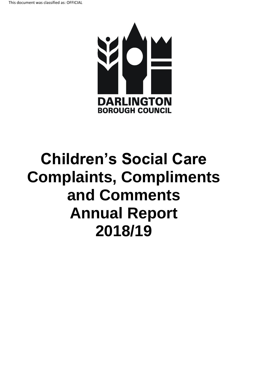

# **Children's Social Care Complaints, Compliments and Comments Annual Report 2018/19**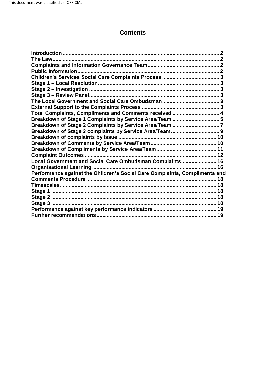# **Contents**

| The Law                                                                    |  |
|----------------------------------------------------------------------------|--|
|                                                                            |  |
|                                                                            |  |
|                                                                            |  |
|                                                                            |  |
|                                                                            |  |
|                                                                            |  |
|                                                                            |  |
|                                                                            |  |
| Total Complaints, Compliments and Comments received  4                     |  |
| Breakdown of Stage 1 Complaints by Service Area/Team  5                    |  |
|                                                                            |  |
|                                                                            |  |
|                                                                            |  |
|                                                                            |  |
|                                                                            |  |
|                                                                            |  |
| Local Government and Social Care Ombudsman Complaints 16                   |  |
|                                                                            |  |
| Performance against the Children's Social Care Complaints, Compliments and |  |
|                                                                            |  |
| Timescales…………………………………………………………………………………………… 18                           |  |
|                                                                            |  |
|                                                                            |  |
|                                                                            |  |
|                                                                            |  |
|                                                                            |  |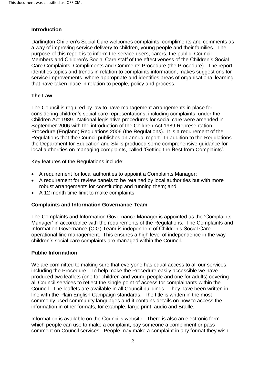#### <span id="page-2-0"></span>**Introduction**

 a way of improving service delivery to children, young people and their families. The purpose of this report is to inform the service users, carers, the public, Council Members and Children's Social Care staff of the effectiveness of the Children's Social Care Complaints, Compliments and Comments Procedure (the Procedure). The report Darlington Children's Social Care welcomes complaints, compliments and comments as identifies topics and trends in relation to complaints information, makes suggestions for service improvements, where appropriate and identifies areas of organisational learning that have taken place in relation to people, policy and process.

# <span id="page-2-1"></span>**The Law**

 September 2006 with the introduction of the Children Act 1989 Representation Procedure (England) Regulations 2006 (the Regulations). It is a requirement of the Regulations that the Council publishes an annual report. In addition to the Regulations The Council is required by law to have management arrangements in place for considering children's social care representations, including complaints, under the Children Act 1989. National legislative procedures for social care were amended in the Department for Education and Skills produced some comprehensive guidance for local authorities on managing complaints, called 'Getting the Best from Complaints'.

Key features of the Regulations include:

- A requirement for local authorities to appoint a Complaints Manager;
- A requirement for review panels to be retained by local authorities but with more robust arrangements for constituting and running them; and
- A 12 month time limit to make complaints.

#### <span id="page-2-2"></span> **Complaints and Information Governance Team**

 Manager' in accordance with the requirements of the Regulations. The Complaints and operational line management. This ensures a high level of independence in the way The Complaints and Information Governance Manager is appointed as the 'Complaints Information Governance (CIG) Team is independent of Children's Social Care children's social care complaints are managed within the Council.

#### <span id="page-2-3"></span>**Public Information**

 including the Procedure. To help make the Procedure easily accessible we have line with the Plain English Campaign standards. The title is written in the most information in other formats, for example, large print, audio and Braille. We are committed to making sure that everyone has equal access to all our services, produced two leaflets (one for children and young people and one for adults) covering all Council services to reflect the single point of access for complainants within the Council. The leaflets are available in all Council buildings. They have been written in commonly used community languages and it contains details on how to access the

 which people can use to make a complaint, pay someone a compliment or pass comment on Council services. People may make a complaint in any format they wish. Information is available on the Council's website. There is also an electronic form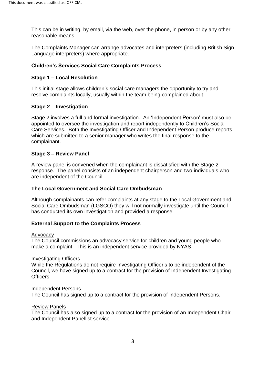This can be in writing, by email, via the web, over the phone, in person or by any other reasonable means.

The Complaints Manager can arrange advocates and interpreters (including British Sign Language interpreters) where appropriate.

# <span id="page-3-0"></span> **Children's Services Social Care Complaints Process**

### <span id="page-3-1"></span> **Stage 1 – Local Resolution**

 This initial stage allows children's social care managers the opportunity to try and resolve complaints locally, usually within the team being complained about.

# <span id="page-3-2"></span> **Stage 2 – Investigation**

 Care Services. Both the Investigating Officer and Independent Person produce reports, which are submitted to a senior manager who writes the final response to the Stage 2 involves a full and formal investigation. An 'Independent Person' must also be appointed to oversee the investigation and report independently to Children's Social complainant.

#### <span id="page-3-3"></span> **Stage 3 – Review Panel**

 A review panel is convened when the complainant is dissatisfied with the Stage 2 response. The panel consists of an independent chairperson and two individuals who are independent of the Council.

#### <span id="page-3-4"></span>**The Local Government and Social Care Ombudsman**

 Social Care Ombudsman (LGSCO) they will not normally investigate until the Council Although complainants can refer complaints at any stage to the Local Government and has conducted its own investigation and provided a response.

#### <span id="page-3-5"></span>**External Support to the Complaints Process**

#### **Advocacy**

 make a complaint. This is an independent service provided by NYAS. The Council commissions an advocacy service for children and young people who

#### Investigating Officers

While the Regulations do not require Investigating Officer's to be independent of the Council, we have signed up to a contract for the provision of Independent Investigating Officers.

#### Independent Persons

The Council has signed up to a contract for the provision of Independent Persons.<br><u>Review Panels</u>

 The Council has also signed up to a contract for the provision of an Independent Chair and Independent Panellist service.<br>3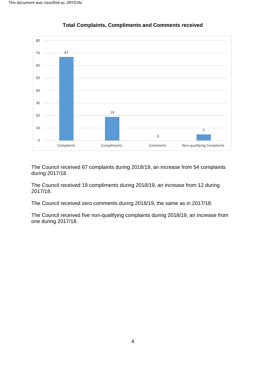<span id="page-4-0"></span>



 The Council received 67 complaints during 2018/19, an increase from 54 complaints during 2017/18.

 The Council received 19 compliments during 2018/19, an increase from 12 during 2017/18.

2017/18.<br>The Council received zero comments during 2018/19, the same as in 2017/18.

 The Council received five non-qualifying complaints during 2018/19, an increase from one during 2017/18.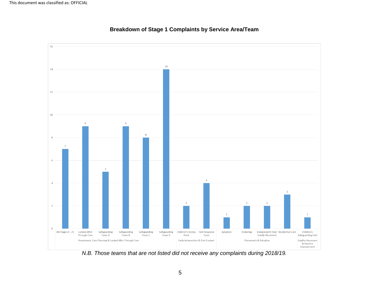<span id="page-5-0"></span>



*N.B. Those teams that are not listed did not receive any complaints during 2018/19.*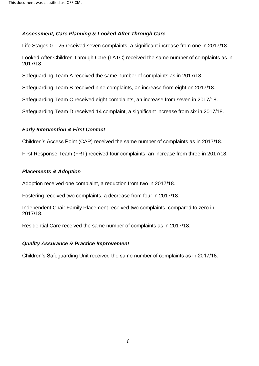# *Assessment, Care Planning & Looked After Through Care*

Life Stages 0 – 25 received seven complaints, a significant increase from one in 2017/18.

Looked After Children Through Care (LATC) received the same number of complaints as in 2017/18.

Safeguarding Team A received the same number of complaints as in 2017/18.

Safeguarding Team B received nine complaints, an increase from eight on 2017/18.

Safeguarding Team C received eight complaints, an increase from seven in 2017/18.

Safeguarding Team D received 14 complaint, a significant increase from six in 2017/18.

# *Early Intervention & First Contact*

Children's Access Point (CAP) received the same number of complaints as in 2017/18.

First Response Team (FRT) received four complaints, an increase from three in 2017/18.

# *Placements & Adoption*

Adoption received one complaint, a reduction from two in 2017/18.

Fostering received two complaints, a decrease from four in 2017/18.

Independent Chair Family Placement received two complaints, compared to zero in 2017/18.

Residential Care received the same number of complaints as in 2017/18.

# *Quality Assurance & Practice Improvement*

Children's Safeguarding Unit received the same number of complaints as in 2017/18.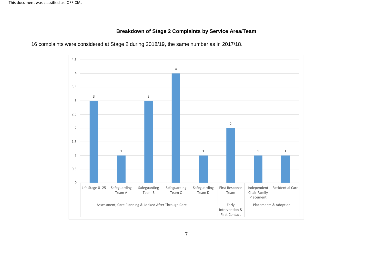# **Breakdown of Stage 2 Complaints by Service Area/Team**

<span id="page-7-0"></span>

16 complaints were considered at Stage 2 during 2018/19, the same number as in 2017/18.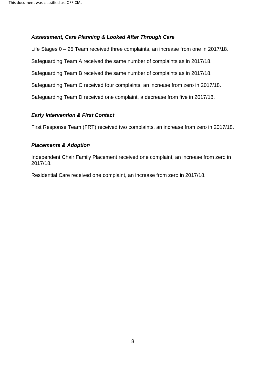#### *Assessment, Care Planning & Looked After Through Care*

 Life Stages 0 – 25 Team received three complaints, an increase from one in 2017/18. Safeguarding Team C received four complaints, an increase from zero in 2017/18. Safeguarding Team D received one complaint, a decrease from five in 2017/18. Safeguarding Team A received the same number of complaints as in 2017/18. Safeguarding Team B received the same number of complaints as in 2017/18.

#### *Early Intervention & First Contact*

First Response Team (FRT) received two complaints, an increase from zero in 2017/18.

#### *Placements & Adoption*

Independent Chair Family Placement received one complaint, an increase from zero in 2017/18.

Residential Care received one complaint, an increase from zero in 2017/18.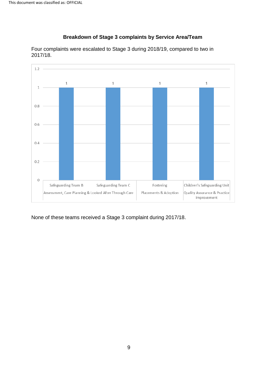

<span id="page-9-0"></span> Four complaints were escalated to Stage 3 during 2018/19, compared to two in 2017/18.

 **Breakdown of Stage 3 complaints by Service Area/Team** 

None of these teams received a Stage 3 complaint during 2017/18.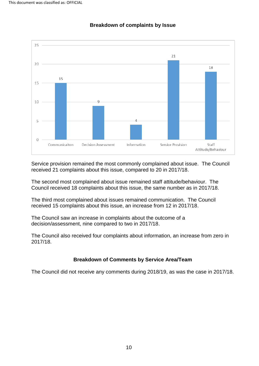<span id="page-10-0"></span>

#### **Breakdown of complaints by Issue**

 received 21 complaints about this issue, compared to 20 in 2017/18. Service provision remained the most commonly complained about issue. The Council

 The second most complained about issue remained staff attitude/behaviour. The Council received 18 complaints about this issue, the same number as in 2017/18.

 The third most complained about issues remained communication. The Council received 15 complaints about this issue, an increase from 12 in 2017/18.

 The Council saw an increase in complaints about the outcome of a decision/assessment, nine compared to two in 2017/18.

The Council also received four complaints about information, an increase from zero in 2017/18.

#### **Breakdown of Comments by Service Area/Team**

<span id="page-10-1"></span>The Council did not receive any comments during 2018/19, as was the case in 2017/18.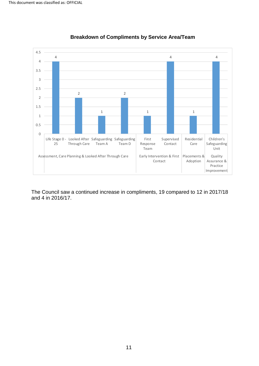<span id="page-11-0"></span>



 The Council saw a continued increase in compliments, 19 compared to 12 in 2017/18 and 4 in 2016/17.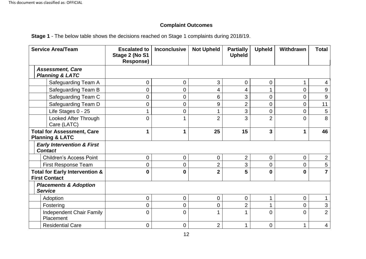# **Complaint Outcomes**

**Stage 1** - The below table shows the decisions reached on Stage 1 complaints during 2018/19.

<span id="page-12-0"></span>

| <b>Service Area/Team</b>                                          | <b>Escalated to</b><br>Stage 2 (No S1<br><b>Response)</b> | <b>Inconclusive</b> | <b>Not Upheld</b> | <b>Partially</b><br><b>Upheld</b> | <b>Upheld</b>  | Withdrawn   | <b>Total</b>   |
|-------------------------------------------------------------------|-----------------------------------------------------------|---------------------|-------------------|-----------------------------------|----------------|-------------|----------------|
| <b>Assessment, Care</b><br><b>Planning &amp; LATC</b>             |                                                           |                     |                   |                                   |                |             |                |
| Safeguarding Team A                                               | 0                                                         | $\mathbf 0$         | 3                 | 0                                 | $\mathbf 0$    | $\mathbf 1$ | 4              |
| Safeguarding Team B                                               | 0                                                         | $\overline{0}$      | 4                 | 4                                 |                | 0           | 9              |
| Safeguarding Team C                                               | 0                                                         | 0                   | 6                 | 3                                 | $\overline{0}$ | 0           | 9              |
| Safeguarding Team D                                               | $\mathbf 0$                                               | $\boldsymbol{0}$    | 9                 | $\overline{2}$                    | $\overline{0}$ | 0           | 11             |
| Life Stages 0 - 25                                                |                                                           | $\boldsymbol{0}$    |                   | 3                                 | $\overline{0}$ | 0           | 5              |
| Looked After Through<br>Care (LATC)                               | $\overline{0}$                                            | 1                   | $\overline{2}$    | 3                                 | $\overline{2}$ | 0           | 8              |
| <b>Total for Assessment, Care</b><br><b>Planning &amp; LATC</b>   | 1                                                         | 1                   | 25                | 15                                | 3              | 1           | 46             |
| <b>Early Intervention &amp; First</b><br><b>Contact</b>           |                                                           |                     |                   |                                   |                |             |                |
| <b>Children's Access Point</b>                                    | $\boldsymbol{0}$                                          | $\boldsymbol{0}$    | $\overline{0}$    | $\overline{2}$                    | $\mathbf 0$    | 0           | $\overline{2}$ |
| <b>First Response Team</b>                                        | 0                                                         | 0                   | 2                 | 3                                 | $\overline{0}$ | 0           | 5              |
| <b>Total for Early Intervention &amp;</b><br><b>First Contact</b> | $\mathbf 0$                                               | $\mathbf 0$         | $\overline{2}$    | 5                                 | $\bf{0}$       | $\mathbf 0$ | $\overline{7}$ |
| <b>Placements &amp; Adoption</b><br><b>Service</b>                |                                                           |                     |                   |                                   |                |             |                |
| Adoption                                                          | 0                                                         | $\mathbf 0$         | $\mathbf 0$       | 0                                 | 1              | 0           |                |
| Fostering                                                         | 0                                                         | 0                   | 0                 | $\overline{2}$                    |                | 0           | 3              |
| Independent Chair Family<br>Placement                             | $\Omega$                                                  | $\overline{0}$      |                   |                                   | $\overline{0}$ | 0           | $\overline{2}$ |
| <b>Residential Care</b>                                           | 0                                                         | $\mathbf 0$         | $\overline{2}$    | 1                                 | $\mathbf 0$    | $\mathbf 1$ | 4              |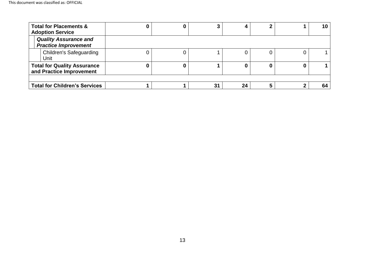| <b>Total for Placements &amp;</b><br><b>Adoption Service</b>   |  |    |    |   | 10 |
|----------------------------------------------------------------|--|----|----|---|----|
| <b>Quality Assurance and</b><br><b>Practice Improvement</b>    |  |    |    |   |    |
| <b>Children's Safeguarding</b><br>Unit                         |  |    |    | U |    |
| <b>Total for Quality Assurance</b><br>and Practice Improvement |  |    |    |   |    |
| <b>Total for Children's Services</b>                           |  | 31 | 24 |   | 64 |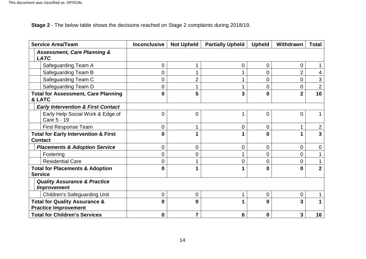**Stage 2** - The below table shows the decisions reached on Stage 2 complaints during 2018/19.

| <b>Service Area/Team</b>                                                | <b>Inconclusive</b> | <b>Not Upheld</b> | <b>Partially Upheld</b> | <b>Upheld</b>  | Withdrawn      | <b>Total</b>   |
|-------------------------------------------------------------------------|---------------------|-------------------|-------------------------|----------------|----------------|----------------|
| <b>Assessment, Care Planning &amp;</b><br><b>LATC</b>                   |                     |                   |                         |                |                |                |
| Safeguarding Team A                                                     | 0                   |                   | 0                       | $\overline{0}$ | 0              |                |
| Safeguarding Team B                                                     | 0                   |                   | 1                       | $\overline{0}$ | $\overline{2}$ | 4              |
| Safeguarding Team C                                                     | 0                   | $\overline{2}$    | $\mathbf 1$             | $\overline{0}$ | $\overline{0}$ | 3              |
| Safeguarding Team D                                                     | 0                   |                   | 1                       | $\overline{0}$ | $\Omega$       | $\overline{2}$ |
| <b>Total for Assessment, Care Planning</b>                              | $\bf{0}$            | 5                 | 3                       | $\bf{0}$       | $\overline{2}$ | 10             |
| & LATC                                                                  |                     |                   |                         |                |                |                |
| <b>Early Intervention &amp; First Contact</b>                           |                     |                   |                         |                |                |                |
| Early Help Social Work & Edge of<br>Care 5 - 19                         | 0                   | $\overline{0}$    | 1                       | $\overline{0}$ | $\Omega$       |                |
| <b>First Response Team</b>                                              | 0                   |                   | 0                       | $\overline{0}$ |                | $\overline{2}$ |
| <b>Total for Early Intervention &amp; First</b><br><b>Contact</b>       | 0                   | 1                 | 1                       | $\bf{0}$       |                | $\overline{3}$ |
| <b>Placements &amp; Adoption Service</b>                                | 0                   | $\overline{0}$    | 0                       | $\overline{0}$ | $\overline{0}$ | 0              |
| Fostering                                                               | 0                   | $\mathbf 0$       | 1                       | $\overline{0}$ | $\overline{0}$ |                |
| <b>Residential Care</b>                                                 | 0                   |                   | 0                       | $\overline{0}$ | $\Omega$       |                |
| <b>Total for Placements &amp; Adoption</b><br><b>Service</b>            | 0                   |                   | 1                       | $\bf{0}$       | n              | $\overline{2}$ |
| <b>Quality Assurance &amp; Practice</b><br><b>Improvement</b>           |                     |                   |                         |                |                |                |
| <b>Children's Safeguarding Unit</b>                                     | 0                   | $\overline{0}$    | 1                       | $\overline{0}$ | $\overline{0}$ |                |
| <b>Total for Quality Assurance &amp;</b><br><b>Practice Improvement</b> | 0                   | $\bf{0}$          | 1                       | $\bf{0}$       | 3              |                |
| <b>Total for Children's Services</b>                                    | 0                   | 7                 | 6                       | $\bf{0}$       | 3              | 16             |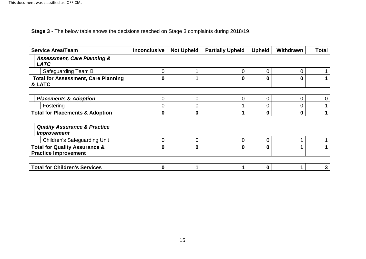**Stage 3** - The below table shows the decisions reached on Stage 3 complaints during 2018/19.

| <b>Service Area/Team</b>                                                | <b>Inconclusive</b> | <b>Not Upheld</b> | <b>Partially Upheld</b> | <b>Upheld</b> | Withdrawn | <b>Total</b> |
|-------------------------------------------------------------------------|---------------------|-------------------|-------------------------|---------------|-----------|--------------|
| <b>Assessment, Care Planning &amp;</b><br><b>LATC</b>                   |                     |                   |                         |               |           |              |
| Safeguarding Team B                                                     | 0                   |                   | 0                       | 0             | O         |              |
| <b>Total for Assessment, Care Planning</b><br>& LATC                    | 0                   |                   | 0                       | 0             | 0         |              |
|                                                                         |                     |                   |                         |               |           |              |
| <b>Placements &amp; Adoption</b>                                        | 0                   | 0                 | 0                       | 0             | ი         |              |
| Fostering                                                               | 0                   | 0                 |                         | 0             | 0         |              |
| <b>Total for Placements &amp; Adoption</b>                              | 0                   | 0                 |                         | 0             | 0         |              |
| <b>Quality Assurance &amp; Practice</b><br><b>Improvement</b>           |                     |                   |                         |               |           |              |
| <b>Children's Safeguarding Unit</b>                                     | 0                   | 0                 | 0                       | 0             |           |              |
| <b>Total for Quality Assurance &amp;</b><br><b>Practice Improvement</b> | $\bf{0}$            | $\mathbf{0}$      | 0                       | 0             |           |              |
|                                                                         |                     |                   |                         |               |           |              |
| <b>Total for Children's Services</b>                                    | 0                   |                   |                         | 0             |           |              |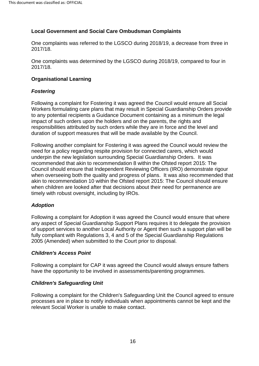# <span id="page-16-0"></span>**Local Government and Social Care Ombudsman Complaints**

 One complaints was referred to the LGSCO during 2018/19, a decrease from three in 2017/18.

 One complaints was determined by the LGSCO during 2018/19, compared to four in 2017/18.

# <span id="page-16-1"></span> **Organisational Learning**

# *Fostering*

 Following a complaint for Fostering it was agreed the Council would ensure all Social impact of such orders upon the holders and on the parents, the rights and responsibilities attributed by such orders while they are in force and the level and Workers formulating care plans that may result in Special Guardianship Orders provide to any potential recipients a Guidance Document containing as a minimum the legal duration of support measures that will be made available by the Council.

 underpin the new legislation surrounding Special Guardianship Orders. It was recommended that akin to recommendation 8 within the Ofsted report 2015: The akin to recommendation 10 within the Ofsted report 2015: The Council should ensure Following another complaint for Fostering it was agreed the Council would review the need for a policy regarding respite provision for connected carers, which would Council should ensure that Independent Reviewing Officers (IRO) demonstrate rigour when overseeing both the quality and progress of plans. It was also recommended that when children are looked after that decisions about their need for permanence are timely with robust oversight, including by IROs.

#### *Adoption*

 any aspect of Special Guardianship Support Plans requires it to delegate the provision fully compliant with Regulations 3, 4 and 5 of the Special Guardianship Regulations 2005 (Amended) when submitted to the Court prior to disposal. Following a complaint for Adoption it was agreed the Council would ensure that where of support services to another Local Authority or Agent then such a support plan will be

#### *Children's Access Point*

Following a complaint for CAP it was agreed the Council would always ensure fathers have the opportunity to be involved in assessments/parenting programmes.

#### *Children's Safeguarding Unit*

 Following a complaint for the Children's Safeguarding Unit the Council agreed to ensure processes are in place to notify individuals when appointments cannot be kept and the relevant Social Worker is unable to make contact.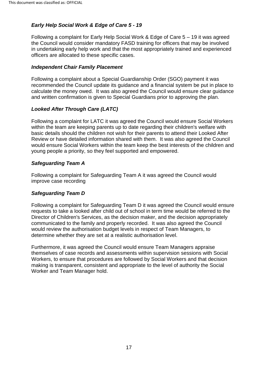# *Early Help Social Work & Edge of Care 5 - 19*

 Following a complaint for Early Help Social Work & Edge of Care 5 – 19 it was agreed officers are allocated to these specific cases. the Council would consider mandatory FASD training for officers that may be involved in undertaking early help work and that the most appropriately trained and experienced

#### *Independent Chair Family Placement*

 Following a complaint about a Special Guardianship Order (SGO) payment it was recommended the Council update its guidance and a financial system be put in place to calculate the money owed. It was also agreed the Council would ensure clear guidance and written confirmation is given to Special Guardians prior to approving the plan.

# *Looked After Through Care (LATC)*

 basic details should the children not wish for their parents to attend their Looked After Review or have detailed information shared with them. It was also agreed the Council would ensure Social Workers within the team keep the best interests of the children and young people a priority, so they feel supported and empowered. Following a complaint for LATC it was agreed the Council would ensure Social Workers within the team are keeping parents up to date regarding their children's welfare with

#### *Safeguarding Team A*

 Following a complaint for Safeguarding Team A it was agreed the Council would improve case recording

#### *Safeguarding Team D*

 requests to take a looked after child out of school in term time would be referred to the communicated to the family and properly recorded. It was also agreed the Council Following a complaint for Safeguarding Team D it was agreed the Council would ensure Director of Children's Services, as the decision maker, and the decision appropriately would review the authorisation budget levels in respect of Team Managers, to determine whether they are set at a realistic authorisation level.

<span id="page-17-0"></span>Furthermore, it was agreed the Council would ensure Team Managers appraise themselves of case records and assessments within supervision sessions with Social Workers, to ensure that procedures are followed by Social Workers and that decision making is transparent, consistent and appropriate to the level of authority the Social Worker and Team Manager hold.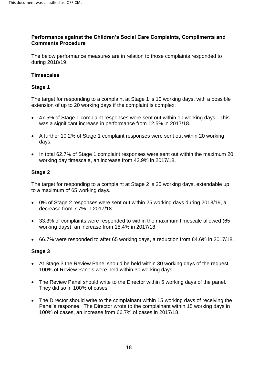#### **Performance against the Children's Social Care Complaints, Compliments and Comments Procedure**

The below performance measures are in relation to those complaints responded to during 2018/19.

#### <span id="page-18-0"></span>**Timescales**

#### <span id="page-18-1"></span>**Stage 1**

 extension of up to 20 working days if the complaint is complex. The target for responding to a complaint at Stage 1 is 10 working days, with a possible

- 47.5% of Stage 1 complaint responses were sent out within 10 working days. This was a significant increase in performance from 12.5% in 2017/18.
- A further 10.2% of Stage 1 complaint responses were sent out within 20 working days.
- In total 62.7% of Stage 1 complaint responses were sent out within the maximum 20 working day timescale, an increase from 42.9% in 2017/18.

#### <span id="page-18-2"></span>**Stage 2**

 to a maximum of 65 working days. The target for responding to a complaint at Stage 2 is 25 working days, extendable up

- 0% of Stage 2 responses were sent out within 25 working days during 2018/19, a decrease from 7.7% in 2017/18.
- 33.3% of complaints were responded to within the maximum timescale allowed (65 working days), an increase from 15.4% in 2017/18.
- 66.7% were responded to after 65 working days, a reduction from 84.6% in 2017/18.

#### <span id="page-18-3"></span>**Stage 3**

- At Stage 3 the Review Panel should be held within 30 working days of the request. 100% of Review Panels were held within 30 working days. 100% of Review Panels were held within 30 working days.
- The Review Panel should write to the Director within 5 working days of the panel. They did so in 100% of cases.
- The Director should write to the complainant within 15 working days of receiving the 100% of cases, an increase from 66.7% of cases in 2017/18. Panel's response. The Director wrote to the complainant within 15 working days in